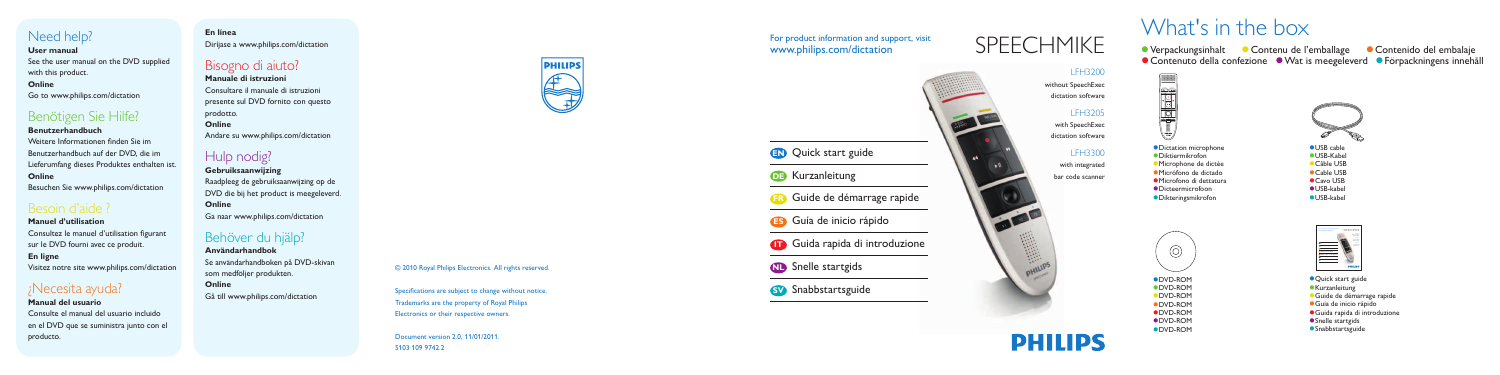## For product information and support, visit www.philips.com/dictation

LFH3200

without SpeechExec dictation software

## LFH3205

with SpeechExec dictation software

## LFH3300

with integrated bar code scanner

# SPEECHMIKE





#### © 2010 Royal Philips Electronics. All rights reserved.

Specifications are subject to change without notice. Trademarks are the property of Royal Philips Electronics or their respective owners.

Document version 2.0, 11/01/2011. 5103 109 9742.2

# What's in the box

● Verpackungsinhalt ● Contenu de l'emballage **Contenido del embalaie** ● Contenuto della confezione ● Wat is meegeleverd ● Förpackningens innehåll



- Dictation microphone
- Diktiermikrofon
- Microphone de dictée
- **Micrófono de dictado**
- Microfono di dettatura
- Dicteermicrofoon
- Dikteringsmikrofon



## Need help?

#### **User manual**

See the user manual on the DVD supplied with this product.

## **Online**

Go to www.philips.com/dictation

# Benötigen Sie Hilfe?

### **Benutzerhandbuch**

Weitere Informationen finden Sie im Benutzerhandbuch auf der DVD, die im Lieferumfang dieses Produktes enthalten ist. **Online**

Besuchen Sie www.philips.com/dictation

# Besoin d'aide ?

## **Manuel d'utilisation** Consultez le manuel d'utilisation figurant sur le DVD fourni avec ce produit. **En ligne** Visitez notre site www.philips.com/dictation

## ¿Necesita ayuda?

**Manual del usuario** Consulte el manual del usuario incluido en el DVD que se suministra junto con el producto.

# **En línea**

Diríjase a www.philips.com/dictation

## Bisogno di aiuto?

**Manuale di istruzioni** Consultare il manuale di istruzioni presente sul DVD fornito con questo prodotto. **Online** Andare su www.philips.com/dictation

## Hulp nodig?

**Gebruiksaanwijzing** Raadpleeg de gebruiksaanwijzing op de DVD die bij het product is meegeleverd. **Online** Ga naar www.philips.com/dictation

# Behöver du hjälp?

**Användarhandbok** Se användarhandboken på DVD-skivan som medföljer produkten.

**Online** Gå till www.philips.com/dictation





- **Quick start guide**
- **Kurzanleitung**
- Guide de démarrage rapide
- Guía de inicio rápido
- Guida rapida di introduzione
- **Snelle startgids**
- **Snabbstartsguide**

# **PHILIPS**

- USB cable USB-Kabel
- Câble USB
- Cable USB
- Cavo USB
- USB-kabel
- USB-kabel



- DVD-ROM
- DVD-ROM